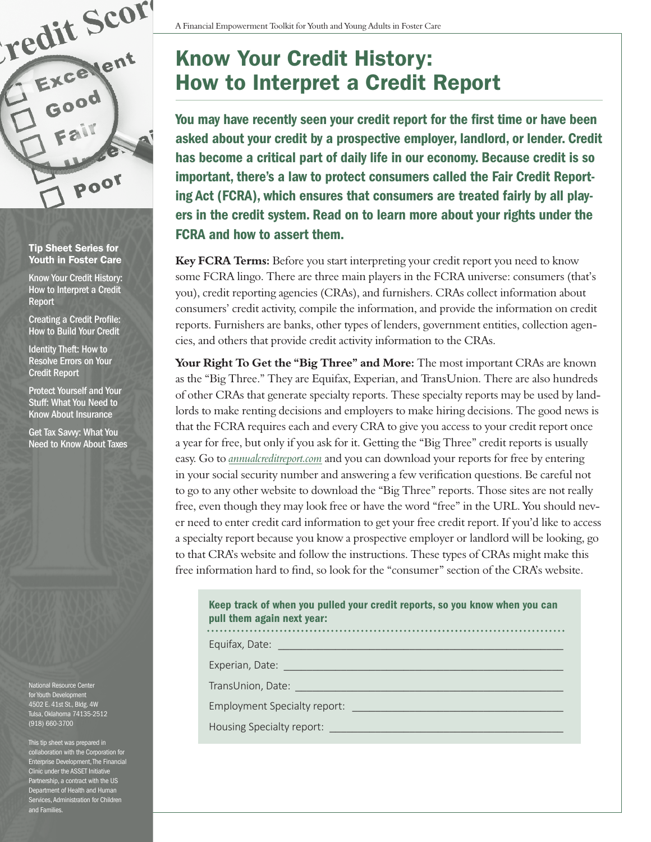

Tip Sheet Series for Youth in Foster Care

Know Your Credit History: How to Interpret a Credit Report

Creating a Credit Profile: How to Build Your Credit

Identity Theft: How to Resolve Errors on Your Credit Report

Protect Yourself and Your Stuff: What You Need to Know About Insurance

Get Tax Savvy: What You Need to Know About Taxes

National Resource Center for Youth Development 4502 E. 41st St., Bldg. 4W Tulsa, Oklahoma 74135-2512 (918) 660-3700

This tip sheet was prepared in collaboration with the Corporation for Enterprise Development, The Financial Clinic under the ASSET Initiative Partnership, a contract with the US Department of Health and Human Services, Administration for Children and Families.

## Know Your Credit History: How to Interpret a Credit Report

You may have recently seen your credit report for the first time or have been asked about your credit by a prospective employer, landlord, or lender. Credit has become a critical part of daily life in our economy. Because credit is so important, there's a law to protect consumers called the Fair Credit Reporting Act (FCRA), which ensures that consumers are treated fairly by all players in the credit system. Read on to learn more about your rights under the FCRA and how to assert them.

**Key FCRA Terms:** Before you start interpreting your credit report you need to know some FCRA lingo. There are three main players in the FCRA universe: consumers (that's you), credit reporting agencies (CRAs), and furnishers. CRAs collect information about consumers' credit activity, compile the information, and provide the information on credit reports. Furnishers are banks, other types of lenders, government entities, collection agencies, and others that provide credit activity information to the CRAs.

Your Right To Get the "Big Three" and More: The most important CRAs are known as the "Big Three." They are Equifax, Experian, and TransUnion. There are also hundreds of other CRAs that generate specialty reports. These specialty reports may be used by landlords to make renting decisions and employers to make hiring decisions. The good news is that the FCRA requires each and every CRA to give you access to your credit report once a year for free, but only if you ask for it. Getting the "Big Three" credit reports is usually easy. Go to *[annualcreditreport.com](http://annualcreditreport.com)* and you can download your reports for free by entering in your social security number and answering a few verification questions. Be careful not to go to any other website to download the "Big Three" reports. Those sites are not really free, even though they may look free or have the word "free" in the URL. You should never need to enter credit card information to get your free credit report. If you'd like to access a specialty report because you know a prospective employer or landlord will be looking, go to that CRA's website and follow the instructions. These types of CRAs might make this free information hard to find, so look for the "consumer" section of the CRA's website.

## Keep track of when you pulled your credit reports, so you know when you can pull them again next year:

Equifax, Date:

Experian, Date:

TransUnion, Date:

Employment Specialty report:

Housing Specialty report: